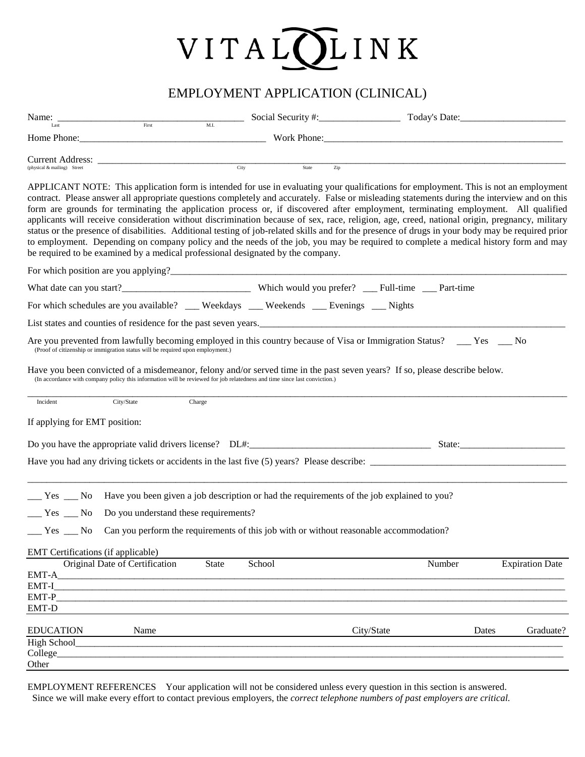## VITALOLINK

## EMPLOYMENT APPLICATION (CLINICAL)

|                                                                                            | Name: $\frac{1}{\text{Last}}$ Social Security #: $\frac{1}{\text{Total Security}}$ Today's Date:                                                                                                                                                                                                                                                                                                                                                                                                                                                                                                                                                                                                                                                                                                                                                                                                                                                            |                         |              |            |        |                        |
|--------------------------------------------------------------------------------------------|-------------------------------------------------------------------------------------------------------------------------------------------------------------------------------------------------------------------------------------------------------------------------------------------------------------------------------------------------------------------------------------------------------------------------------------------------------------------------------------------------------------------------------------------------------------------------------------------------------------------------------------------------------------------------------------------------------------------------------------------------------------------------------------------------------------------------------------------------------------------------------------------------------------------------------------------------------------|-------------------------|--------------|------------|--------|------------------------|
|                                                                                            | Home Phone: Work Phone: Work Phone:                                                                                                                                                                                                                                                                                                                                                                                                                                                                                                                                                                                                                                                                                                                                                                                                                                                                                                                         |                         |              |            |        |                        |
| (physical & mailing) Street                                                                |                                                                                                                                                                                                                                                                                                                                                                                                                                                                                                                                                                                                                                                                                                                                                                                                                                                                                                                                                             | $\frac{1}{\text{City}}$ | State<br>Zip |            |        |                        |
|                                                                                            | APPLICANT NOTE: This application form is intended for use in evaluating your qualifications for employment. This is not an employment<br>contract. Please answer all appropriate questions completely and accurately. False or misleading statements during the interview and on this<br>form are grounds for terminating the application process or, if discovered after employment, terminating employment. All qualified<br>applicants will receive consideration without discrimination because of sex, race, religion, age, creed, national origin, pregnancy, military<br>status or the presence of disabilities. Additional testing of job-related skills and for the presence of drugs in your body may be required prior<br>to employment. Depending on company policy and the needs of the job, you may be required to complete a medical history form and may<br>be required to be examined by a medical professional designated by the company. |                         |              |            |        |                        |
|                                                                                            |                                                                                                                                                                                                                                                                                                                                                                                                                                                                                                                                                                                                                                                                                                                                                                                                                                                                                                                                                             |                         |              |            |        |                        |
|                                                                                            |                                                                                                                                                                                                                                                                                                                                                                                                                                                                                                                                                                                                                                                                                                                                                                                                                                                                                                                                                             |                         |              |            |        |                        |
|                                                                                            | For which schedules are you available? __ Weekdays __ Weekends __ Evenings __ Nights                                                                                                                                                                                                                                                                                                                                                                                                                                                                                                                                                                                                                                                                                                                                                                                                                                                                        |                         |              |            |        |                        |
|                                                                                            | List states and counties of residence for the past seven years.<br><u>List states and counties of residence for the past seven years.</u>                                                                                                                                                                                                                                                                                                                                                                                                                                                                                                                                                                                                                                                                                                                                                                                                                   |                         |              |            |        |                        |
|                                                                                            | Are you prevented from lawfully becoming employed in this country because of Visa or Immigration Status? __ Yes __ No<br>(Proof of citizenship or immigration status will be required upon employment.)                                                                                                                                                                                                                                                                                                                                                                                                                                                                                                                                                                                                                                                                                                                                                     |                         |              |            |        |                        |
|                                                                                            | Have you been convicted of a misdemeanor, felony and/or served time in the past seven years? If so, please describe below.<br>(In accordance with company policy this information will be reviewed for job relatedness and time since last conviction.)                                                                                                                                                                                                                                                                                                                                                                                                                                                                                                                                                                                                                                                                                                     |                         |              |            |        |                        |
| Incident                                                                                   | City/State                                                                                                                                                                                                                                                                                                                                                                                                                                                                                                                                                                                                                                                                                                                                                                                                                                                                                                                                                  | Charge                  |              |            |        |                        |
| If applying for EMT position:                                                              |                                                                                                                                                                                                                                                                                                                                                                                                                                                                                                                                                                                                                                                                                                                                                                                                                                                                                                                                                             |                         |              |            |        |                        |
|                                                                                            |                                                                                                                                                                                                                                                                                                                                                                                                                                                                                                                                                                                                                                                                                                                                                                                                                                                                                                                                                             |                         |              |            |        |                        |
|                                                                                            |                                                                                                                                                                                                                                                                                                                                                                                                                                                                                                                                                                                                                                                                                                                                                                                                                                                                                                                                                             |                         |              |            |        |                        |
| $Yes$ Mo                                                                                   | Have you been given a job description or had the requirements of the job explained to you?                                                                                                                                                                                                                                                                                                                                                                                                                                                                                                                                                                                                                                                                                                                                                                                                                                                                  |                         |              |            |        |                        |
| $\frac{1}{\sqrt{1 - \frac{1}{\sqrt{1}}}}$ Yes $\frac{1}{\sqrt{1 - \frac{1}{\sqrt{1}}}}$ No | Do you understand these requirements?                                                                                                                                                                                                                                                                                                                                                                                                                                                                                                                                                                                                                                                                                                                                                                                                                                                                                                                       |                         |              |            |        |                        |
|                                                                                            | __ Yes __ No Can you perform the requirements of this job with or without reasonable accommodation?                                                                                                                                                                                                                                                                                                                                                                                                                                                                                                                                                                                                                                                                                                                                                                                                                                                         |                         |              |            |        |                        |
| EMT Certifications (if applicable)                                                         |                                                                                                                                                                                                                                                                                                                                                                                                                                                                                                                                                                                                                                                                                                                                                                                                                                                                                                                                                             |                         |              |            |        |                        |
|                                                                                            | Original Date of Certification                                                                                                                                                                                                                                                                                                                                                                                                                                                                                                                                                                                                                                                                                                                                                                                                                                                                                                                              | School<br>State         |              |            | Number | <b>Expiration Date</b> |
| EMT-A                                                                                      |                                                                                                                                                                                                                                                                                                                                                                                                                                                                                                                                                                                                                                                                                                                                                                                                                                                                                                                                                             |                         |              |            |        |                        |
| EMT-I<br>EMT-P                                                                             |                                                                                                                                                                                                                                                                                                                                                                                                                                                                                                                                                                                                                                                                                                                                                                                                                                                                                                                                                             |                         |              |            |        |                        |
| EMT-D                                                                                      |                                                                                                                                                                                                                                                                                                                                                                                                                                                                                                                                                                                                                                                                                                                                                                                                                                                                                                                                                             |                         |              |            |        |                        |
| <b>EDUCATION</b>                                                                           | Name                                                                                                                                                                                                                                                                                                                                                                                                                                                                                                                                                                                                                                                                                                                                                                                                                                                                                                                                                        |                         |              | City/State | Dates  | Graduate?              |
| High School                                                                                |                                                                                                                                                                                                                                                                                                                                                                                                                                                                                                                                                                                                                                                                                                                                                                                                                                                                                                                                                             |                         |              |            |        |                        |
| College_<br>Other                                                                          |                                                                                                                                                                                                                                                                                                                                                                                                                                                                                                                                                                                                                                                                                                                                                                                                                                                                                                                                                             |                         |              |            |        |                        |
|                                                                                            |                                                                                                                                                                                                                                                                                                                                                                                                                                                                                                                                                                                                                                                                                                                                                                                                                                                                                                                                                             |                         |              |            |        |                        |

EMPLOYMENT REFERENCES Your application will not be considered unless every question in this section is answered. Since we will make every effort to contact previous employers, the *correct telephone numbers of past employers are critical.*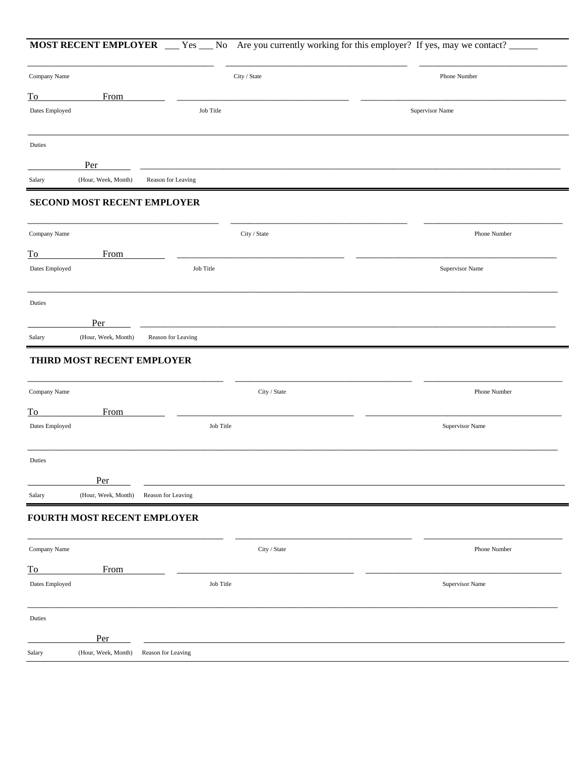|                                                                    |                             |                    | <b>MOST RECENT EMPLOYER</b> __ Yes __ No Are you currently working for this employer? If yes, may we contact? |
|--------------------------------------------------------------------|-----------------------------|--------------------|---------------------------------------------------------------------------------------------------------------|
| Company Name                                                       |                             | City / State       | Phone Number                                                                                                  |
| To                                                                 | From                        |                    |                                                                                                               |
| Dates Employed                                                     |                             | Job Title          | Supervisor Name                                                                                               |
| Duties                                                             |                             |                    |                                                                                                               |
|                                                                    | Per                         |                    |                                                                                                               |
| Salary                                                             | (Hour, Week, Month)         | Reason for Leaving |                                                                                                               |
|                                                                    | SECOND MOST RECENT EMPLOYER |                    |                                                                                                               |
| Company Name                                                       |                             | City / State       | Phone Number                                                                                                  |
| To                                                                 | From                        |                    |                                                                                                               |
| Dates Employed                                                     |                             | Job Title          | Supervisor Name                                                                                               |
| Duties                                                             |                             |                    |                                                                                                               |
|                                                                    | Per                         |                    |                                                                                                               |
| Salary                                                             | (Hour, Week, Month)         | Reason for Leaving |                                                                                                               |
| Company Name                                                       |                             | City / State       | Phone Number                                                                                                  |
| $\overline{\text{To}}$                                             | From                        |                    |                                                                                                               |
| Dates Employed                                                     |                             | Job Title          | Supervisor Name                                                                                               |
|                                                                    |                             |                    |                                                                                                               |
|                                                                    |                             |                    |                                                                                                               |
|                                                                    | Per                         |                    |                                                                                                               |
|                                                                    | (Hour, Week, Month)         | Reason for Leaving |                                                                                                               |
|                                                                    | FOURTH MOST RECENT EMPLOYER |                    |                                                                                                               |
|                                                                    |                             | City / State       | Phone Number                                                                                                  |
|                                                                    | From                        |                    |                                                                                                               |
|                                                                    |                             | Job Title          | Supervisor Name                                                                                               |
|                                                                    |                             |                    |                                                                                                               |
| Duties<br>Salary<br>Company Name<br>To<br>Dates Employed<br>Duties | Per                         |                    |                                                                                                               |